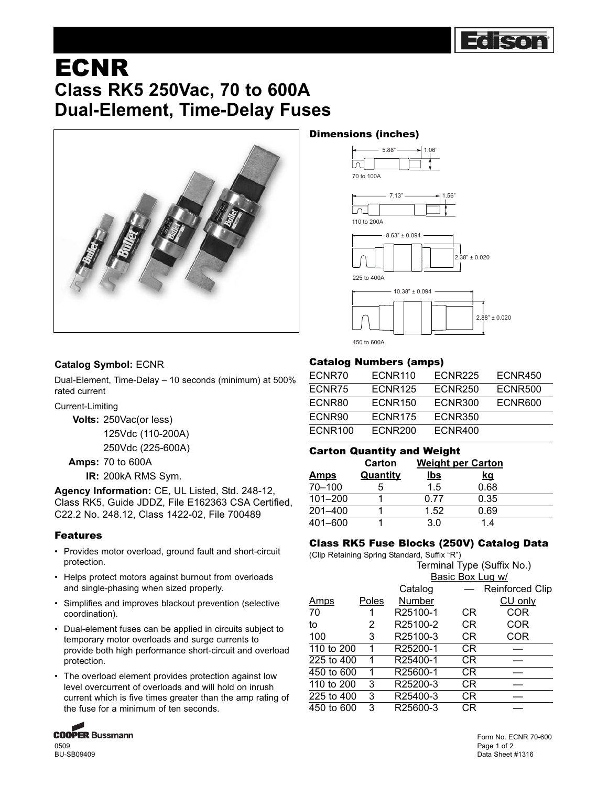

# ECNR **Class RK5 250Vac, 70 to 600A Dual-Element, Time-Delay Fuses**



## Dimensions (inches)



### **Catalog Symbol:** ECNR

Dual-Element, Time-Delay – 10 seconds (minimum) at 500% rated current

Current-Limiting

**Volts:** 250Vac(or less)

125Vdc (110-200A) 250Vdc (225-600A)

**Amps:** 70 to 600A

**IR:** 200kA RMS Sym.

**Agency Information:** CE, UL Listed, Std. 248-12, Class RK5, Guide JDDZ, File E162363 CSA Certified, C22.2 No. 248.12, Class 1422-02, File 700489

#### Features

- Provides motor overload, ground fault and short-circuit protection.
- Helps protect motors against burnout from overloads and single-phasing when sized properly.
- Simplifies and improves blackout prevention (selective coordination).
- Dual-element fuses can be applied in circuits subject to temporary motor overloads and surge currents to provide both high performance short-circuit and overload protection.
- The overload element provides protection against low level overcurrent of overloads and will hold on inrush current which is five times greater than the amp rating of the fuse for a minimum of ten seconds.



BU-SB09409

### Catalog Numbers (amps)

| ECNR70         | ECNR <sub>110</sub> | ECNR <sub>225</sub> | ECNR450        |
|----------------|---------------------|---------------------|----------------|
| ECNR75         | ECNR <sub>125</sub> | <b>ECNR250</b>      | <b>ECNR500</b> |
| ECNR80         | <b>ECNR150</b>      | ECNR300             | ECNR600        |
| ECNR90         | ECNR <sub>175</sub> | <b>ECNR350</b>      |                |
| <b>ECNR100</b> | ECNR <sub>200</sub> | ECNR400             |                |

#### Carton Quantity and Weight

|             | Carton          | <b>Weight per Carton</b> |           |  |
|-------------|-----------------|--------------------------|-----------|--|
| <u>Amps</u> | <b>Quantity</b> | <u>lbs</u>               | <u>kq</u> |  |
| $70 - 100$  | 5               | 1.5                      | 0.68      |  |
| $101 - 200$ |                 | በ 77                     | 0.35      |  |
| $201 - 400$ |                 | 1.52                     | 0.69      |  |
| $401 - 600$ |                 | 3.0                      | 14        |  |

#### Class RK5 Fuse Blocks (250V) Catalog Data

(Clip Retaining Spring Standard, Suffix "R")

|             |       | Terminal Type (Suffix No.) |           |                        |
|-------------|-------|----------------------------|-----------|------------------------|
|             |       | Basic Box Lug w/           |           |                        |
|             |       | Catalog                    |           | <b>Reinforced Clip</b> |
| <u>Amps</u> | Poles | Number                     |           | CU only                |
| 70          |       | R25100-1                   | СR        | COR                    |
| to          | 2     | R25100-2                   | CR.       | COR                    |
| 100         | 3     | R25100-3                   | CR.       | COR                    |
| 110 to 200  | 1     | R25200-1                   | CR.       |                        |
| 225 to 400  | 1     | R25400-1                   | <b>CR</b> |                        |
| 450 to 600  | 1     | R25600-1                   | CR.       |                        |
| 110 to 200  | 3     | R25200-3                   | CR        |                        |
| 225 to 400  | 3     | R25400-3                   | CR.       |                        |
| 450 to 600  | 3     | R25600-3                   | СR        |                        |